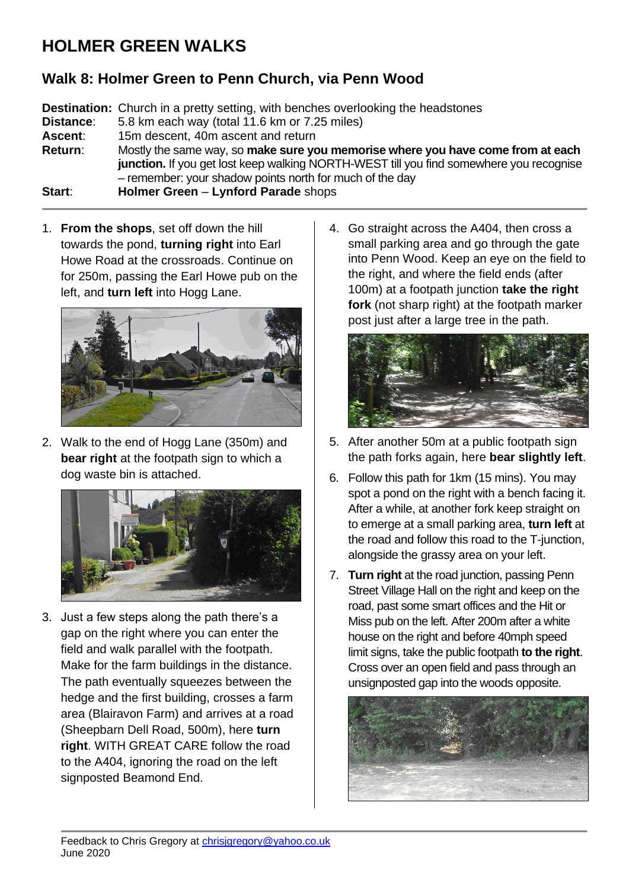## **HOLMER GREEN WALKS**

## **Walk 8: Holmer Green to Penn Church, via Penn Wood**

**Destination:** Church in a pretty setting, with benches overlooking the headstones **Distance**: 5.8 km each way (total 11.6 km or 7.25 miles) **Ascent**: 15m descent, 40m ascent and return **Return**: Mostly the same way, so **make sure you memorise where you have come from at each junction.** If you get lost keep walking NORTH-WEST till you find somewhere you recognise – remember: your shadow points north for much of the day **Start**: **Holmer Green** – **Lynford Parade** shops

1. **From the shops**, set off down the hill towards the pond, **turning right** into Earl Howe Road at the crossroads. Continue on for 250m, passing the Earl Howe pub on the left, and **turn left** into Hogg Lane.



2. Walk to the end of Hogg Lane (350m) and **bear right** at the footpath sign to which a dog waste bin is attached.



3. Just a few steps along the path there's a gap on the right where you can enter the field and walk parallel with the footpath. Make for the farm buildings in the distance. The path eventually squeezes between the hedge and the first building, crosses a farm area (Blairavon Farm) and arrives at a road (Sheepbarn Dell Road, 500m), here **turn right**. WITH GREAT CARE follow the road to the A404, ignoring the road on the left signposted Beamond End.

4. Go straight across the A404, then cross a small parking area and go through the gate into Penn Wood. Keep an eye on the field to the right, and where the field ends (after 100m) at a footpath junction **take the right fork** (not sharp right) at the footpath marker post just after a large tree in the path.



- 5. After another 50m at a public footpath sign the path forks again, here **bear slightly left**.
- 6. Follow this path for 1km (15 mins). You may spot a pond on the right with a bench facing it. After a while, at another fork keep straight on to emerge at a small parking area, **turn left** at the road and follow this road to the T-junction, alongside the grassy area on your left.
- 7. **Turn right** at the road junction, passing Penn Street Village Hall on the right and keep on the road, past some smart offices and the Hit or Miss pub on the left. After 200m after a white house on the right and before 40mph speed limit signs, take the public footpath **to the right**. Cross over an open field and pass through an unsignposted gap into the woods opposite.